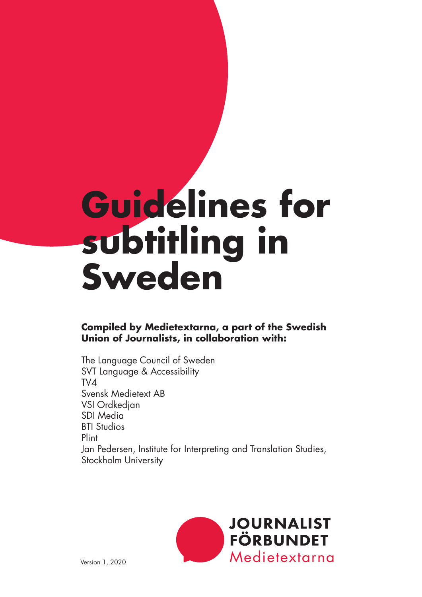# **Guidelines for subtitling in Sweden**

#### **Compiled by Medietextarna, a part of the Swedish Union of Journalists, in collaboration with:**

The Language Council of Sweden SVT Language & Accessibility TV4 Svensk Medietext AB VSI Ordkedjan SDI Media BTI Studios Plint Jan Pedersen, Institute for Interpreting and Translation Studies, Stockholm University

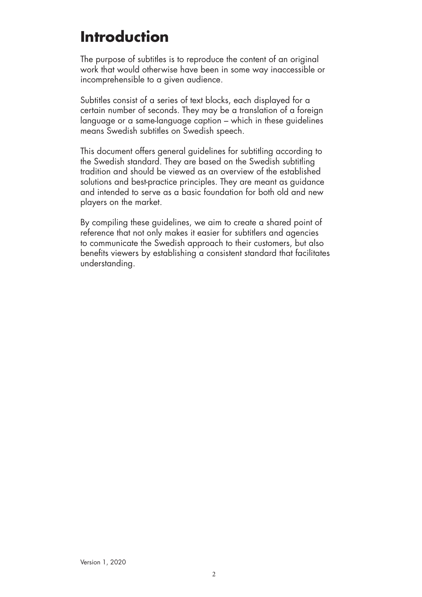## **Introduction**

The purpose of subtitles is to reproduce the content of an original work that would otherwise have been in some way inaccessible or incomprehensible to a given audience.

Subtitles consist of a series of text blocks, each displayed for a certain number of seconds. They may be a translation of a foreign language or a same-language caption – which in these guidelines means Swedish subtitles on Swedish speech.

This document offers general guidelines for subtitling according to the Swedish standard. They are based on the Swedish subtitling tradition and should be viewed as an overview of the established solutions and best-practice principles. They are meant as guidance and intended to serve as a basic foundation for both old and new players on the market.

By compiling these guidelines, we aim to create a shared point of reference that not only makes it easier for subtitlers and agencies to communicate the Swedish approach to their customers, but also benefits viewers by establishing a consistent standard that facilitates understanding.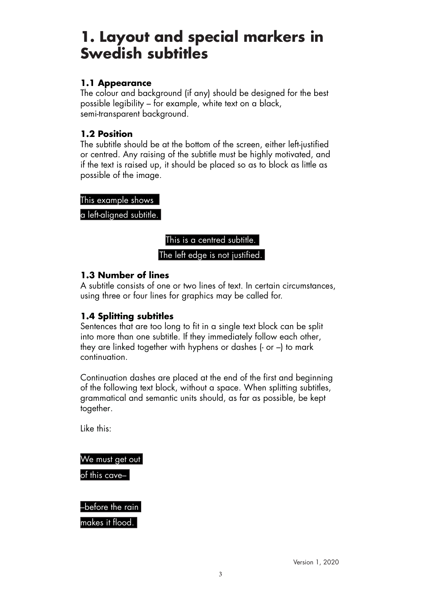### **1. Layout and special markers in Swedish subtitles**

#### **1.1 Appearance**

The colour and background (if any) should be designed for the best possible legibility – for example, white text on a black, semi-transparent background.

#### **1.2 Position**

The subtitle should be at the bottom of the screen, either left-justified or centred. Any raising of the subtitle must be highly motivated, and if the text is raised up, it should be placed so as to block as little as possible of the image.

This example shows

a left-aligned subtitle.



#### **1.3 Number of lines**

A subtitle consists of one or two lines of text. In certain circumstances, using three or four lines for graphics may be called for.

#### **1.4 Splitting subtitles**

Sentences that are too long to fit in a single text block can be split into more than one subtitle. If they immediately follow each other, they are linked together with hyphens or dashes (- or –) to mark continuation.

Continuation dashes are placed at the end of the first and beginning of the following text block, without a space. When splitting subtitles, grammatical and semantic units should, as far as possible, be kept together.

Like this:

We must get out of this cave–

–before the rain makes it flood.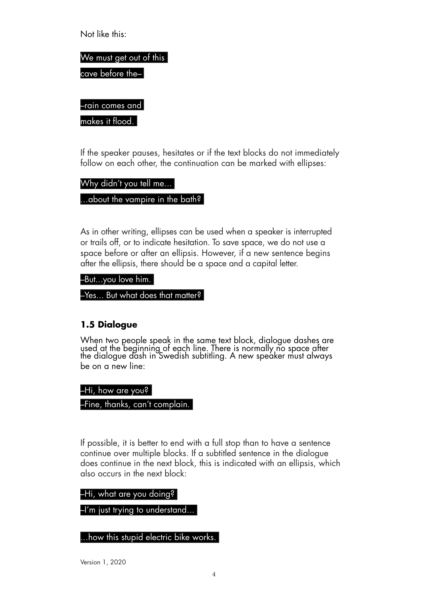Not like this:

We must get out of this cave before the–

–rain comes and

makes it flood.

If the speaker pauses, hesitates or if the text blocks do not immediately follow on each other, the continuation can be marked with ellipses:

Why didn't you tell me...

...about the vampire in the bath?

As in other writing, ellipses can be used when a speaker is interrupted or trails off, or to indicate hesitation. To save space, we do not use a space before or after an ellipsis. However, if a new sentence begins after the ellipsis, there should be a space and a capital letter.

–But...you love him.

–Yes... But what does that matter?

#### **1.5 Dialogue**

When two people speak in the same text block, dialogue dashes are used at the beginning of each line. There is normally no space after the dialogue dash in Swedish subtitling. A new speaker must always be on a new line:

–Hi, how are you?

–Fine, thanks, can't complain.

If possible, it is better to end with a full stop than to have a sentence continue over multiple blocks. If a subtitled sentence in the dialogue does continue in the next block, this is indicated with an ellipsis, which also occurs in the next block:

–Hi, what are you doing?

–I'm just trying to understand...

...how this stupid electric bike works.

Version 1, 2020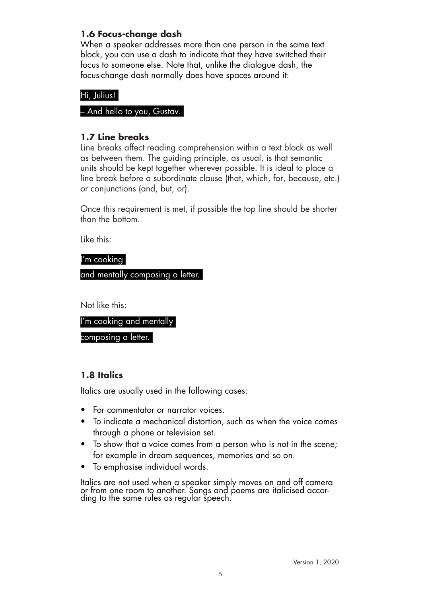#### **1.6 Focus-change dash**

When a speaker addresses more than one person in the same text block, you can use a dash to indicate that they have switched their focus to someone else. Note that, unlike the dialogue dash, the focus-change dash normally does have spaces around it:

#### Hi, Julius!

#### – And hello to you, Gustav.

#### **1.7 Line breaks**

Line breaks affect reading comprehension within a text block as well as between them. The guiding principle, as usual, is that semantic units should be kept together wherever possible. It is ideal to place a line break before a subordinate clause (that, which, for, because, etc.) or conjunctions (and, but, or).

Once this requirement is met, if possible the top line should be shorter than the bottom.

Like this:

I'm cooking

and mentally composing a letter.

Not like this:

I'm cooking and mentally

composing a letter.

#### **1.8 Italics**

Italics are usually used in the following cases:

- For commentator or narrator voices.
- To indicate a mechanical distortion, such as when the voice comes through a phone or television set.
- To show that a voice comes from a person who is not in the scene; for example in dream sequences, memories and so on.
- To emphasise individual words.

Italics are not used when a speaker simply moves on and off camera or from one room to another. Songs and poems are italicised accor-<br>ding to the same rules as regular speech.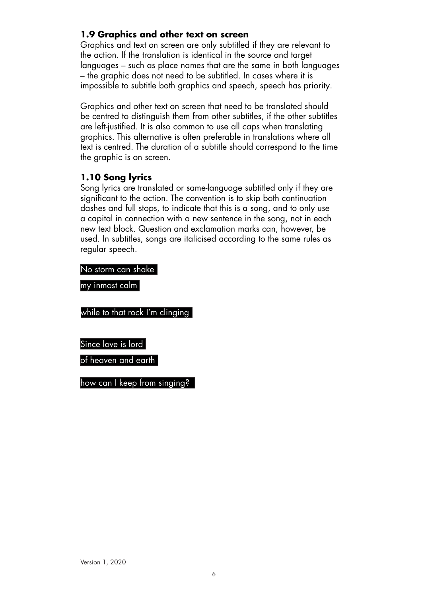#### **1.9 Graphics and other text on screen**

Graphics and text on screen are only subtitled if they are relevant to the action. If the translation is identical in the source and target languages – such as place names that are the same in both languages – the graphic does not need to be subtitled. In cases where it is impossible to subtitle both graphics and speech, speech has priority.

Graphics and other text on screen that need to be translated should be centred to distinguish them from other subtitles, if the other subtitles are left-justified. It is also common to use all caps when translating graphics. This alternative is often preferable in translations where all text is centred. The duration of a subtitle should correspond to the time the graphic is on screen.

#### **1.10 Song lyrics**

Song lyrics are translated or same-language subtitled only if they are significant to the action. The convention is to skip both continuation dashes and full stops, to indicate that this is a song, and to only use a capital in connection with a new sentence in the song, not in each new text block. Question and exclamation marks can, however, be used. In subtitles, songs are italicised according to the same rules as regular speech.

No storm can shake

my inmost calm

while to that rock I'm clinging

Since love is lord

of heaven and earth  $\mid$ 

how can I keep from singing?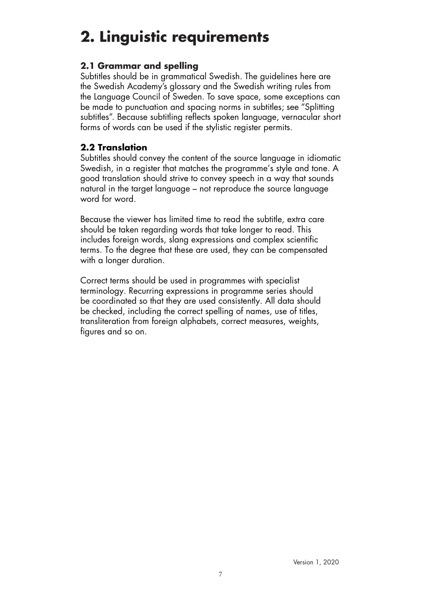# **2. Linguistic requirements**

#### **2.1 Grammar and spelling**

Subtitles should be in grammatical Swedish. The guidelines here are the Swedish Academy's glossary and the Swedish writing rules from the Language Council of Sweden. To save space, some exceptions can be made to punctuation and spacing norms in subtitles; see "Splitting subtitles". Because subtitling reflects spoken language, vernacular short forms of words can be used if the stylistic register permits.

#### **2.2 Translation**

Subtitles should convey the content of the source language in idiomatic Swedish, in a register that matches the programme's style and tone. A good translation should strive to convey speech in a way that sounds natural in the target language – not reproduce the source language word for word.

Because the viewer has limited time to read the subtitle, extra care should be taken regarding words that take longer to read. This includes foreign words, slang expressions and complex scientific terms. To the degree that these are used, they can be compensated with a longer duration.

Correct terms should be used in programmes with specialist terminology. Recurring expressions in programme series should be coordinated so that they are used consistently. All data should be checked, including the correct spelling of names, use of titles, transliteration from foreign alphabets, correct measures, weights, figures and so on.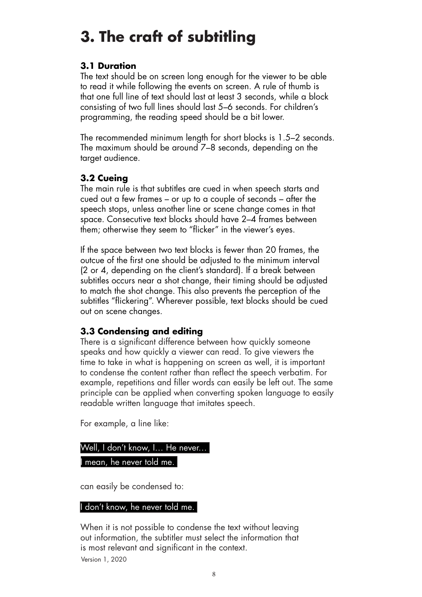# **3. The craft of subtitling**

#### **3.1 Duration**

The text should be on screen long enough for the viewer to be able to read it while following the events on screen. A rule of thumb is that one full line of text should last at least 3 seconds, while a block consisting of two full lines should last 5–6 seconds. For children's programming, the reading speed should be a bit lower.

The recommended minimum length for short blocks is 1.5–2 seconds. The maximum should be around 7–8 seconds, depending on the target audience.

#### **3.2 Cueing**

The main rule is that subtitles are cued in when speech starts and cued out a few frames – or up to a couple of seconds – after the speech stops, unless another line or scene change comes in that space. Consecutive text blocks should have 2–4 frames between them; otherwise they seem to "flicker" in the viewer's eyes.

If the space between two text blocks is fewer than 20 frames, the outcue of the first one should be adjusted to the minimum interval (2 or 4, depending on the client's standard). If a break between subtitles occurs near a shot change, their timing should be adjusted to match the shot change. This also prevents the perception of the subtitles "flickering". Wherever possible, text blocks should be cued out on scene changes.

#### **3.3 Condensing and editing**

There is a significant difference between how quickly someone speaks and how quickly a viewer can read. To give viewers the time to take in what is happening on screen as well, it is important to condense the content rather than reflect the speech verbatim. For example, repetitions and filler words can easily be left out. The same principle can be applied when converting spoken language to easily readable written language that imitates speech.

For example, a line like:

Well, I don't know, I… He never… mean, he never told me.

can easily be condensed to:

#### I don't know, he never told me.

Version 1, 2020 When it is not possible to condense the text without leaving out information, the subtitler must select the information that is most relevant and significant in the context.